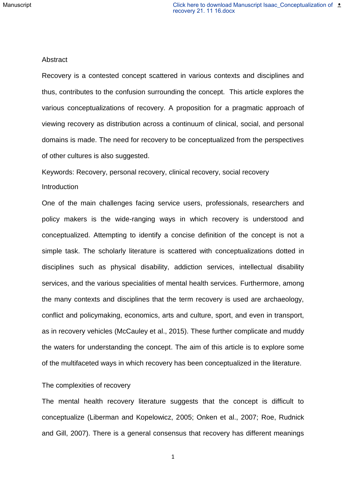#### Abstract

Recovery is a contested concept scattered in various contexts and disciplines and thus, contributes to the confusion surrounding the concept. This article explores the various conceptualizations of recovery. A proposition for a pragmatic approach of viewing recovery as distribution across a continuum of clinical, social, and personal domains is made. The need for recovery to be conceptualized from the perspectives of other cultures is also suggested.

Keywords: Recovery, personal recovery, clinical recovery, social recovery

### Introduction

One of the main challenges facing service users, professionals, researchers and policy makers is the wide-ranging ways in which recovery is understood and conceptualized. Attempting to identify a concise definition of the concept is not a simple task. The scholarly literature is scattered with conceptualizations dotted in disciplines such as physical disability, addiction services, intellectual disability services, and the various specialities of mental health services. Furthermore, among the many contexts and disciplines that the term recovery is used are archaeology, conflict and policymaking, economics, arts and culture, sport, and even in transport, as in recovery vehicles (McCauley et al., 2015). These further complicate and muddy the waters for understanding the concept. The aim of this article is to explore some of the multifaceted ways in which recovery has been conceptualized in the literature.

# The complexities of recovery

The mental health recovery literature suggests that the concept is difficult to conceptualize (Liberman and Kopelowicz, 2005; Onken et al., 2007; Roe, Rudnick and Gill, 2007). There is a general consensus that recovery has different meanings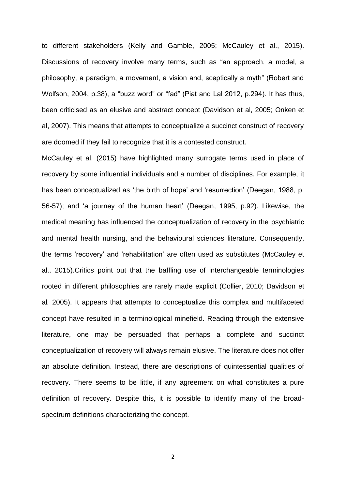to different stakeholders (Kelly and Gamble, 2005; McCauley et al., 2015). Discussions of recovery involve many terms, such as "an approach, a model, a philosophy, a paradigm, a movement, a vision and, sceptically a myth" (Robert and Wolfson, 2004, p.38), a "buzz word" or "fad" (Piat and Lal 2012, p.294). It has thus, been criticised as an elusive and abstract concept (Davidson et al, 2005; Onken et al, 2007). This means that attempts to conceptualize a succinct construct of recovery are doomed if they fail to recognize that it is a contested construct.

McCauley et al. (2015) have highlighted many surrogate terms used in place of recovery by some influential individuals and a number of disciplines. For example, it has been conceptualized as 'the birth of hope' and 'resurrection' (Deegan, 1988, p. 56-57); and 'a journey of the human heart' (Deegan, 1995, p.92). Likewise, the medical meaning has influenced the conceptualization of recovery in the psychiatric and mental health nursing, and the behavioural sciences literature. Consequently, the terms 'recovery' and 'rehabilitation' are often used as substitutes (McCauley et al., 2015).Critics point out that the baffling use of interchangeable terminologies rooted in different philosophies are rarely made explicit (Collier, 2010; Davidson et al*.* 2005). It appears that attempts to conceptualize this complex and multifaceted concept have resulted in a terminological minefield. Reading through the extensive literature, one may be persuaded that perhaps a complete and succinct conceptualization of recovery will always remain elusive. The literature does not offer an absolute definition. Instead, there are descriptions of quintessential qualities of recovery. There seems to be little, if any agreement on what constitutes a pure definition of recovery. Despite this, it is possible to identify many of the broadspectrum definitions characterizing the concept.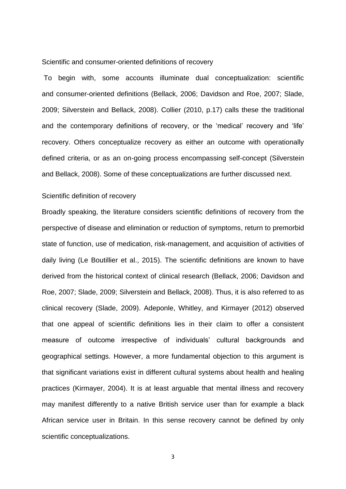Scientific and consumer-oriented definitions of recovery

To begin with, some accounts illuminate dual conceptualization: scientific and consumer-oriented definitions (Bellack, 2006; Davidson and Roe, 2007; Slade, 2009; Silverstein and Bellack, 2008). Collier (2010, p.17) calls these the traditional and the contemporary definitions of recovery, or the 'medical' recovery and 'life' recovery. Others conceptualize recovery as either an outcome with operationally defined criteria, or as an on-going process encompassing self-concept (Silverstein and Bellack, 2008). Some of these conceptualizations are further discussed next.

# Scientific definition of recovery

Broadly speaking, the literature considers scientific definitions of recovery from the perspective of disease and elimination or reduction of symptoms, return to premorbid state of function, use of medication, risk-management, and acquisition of activities of daily living (Le Boutillier et al., 2015). The scientific definitions are known to have derived from the historical context of clinical research (Bellack, 2006; Davidson and Roe, 2007; Slade, 2009; Silverstein and Bellack, 2008). Thus, it is also referred to as clinical recovery (Slade, 2009). Adeponle, Whitley, and Kirmayer (2012) observed that one appeal of scientific definitions lies in their claim to offer a consistent measure of outcome irrespective of individuals' cultural backgrounds and geographical settings. However, a more fundamental objection to this argument is that significant variations exist in different cultural systems about health and healing practices (Kirmayer, 2004). It is at least arguable that mental illness and recovery may manifest differently to a native British service user than for example a black African service user in Britain. In this sense recovery cannot be defined by only scientific conceptualizations.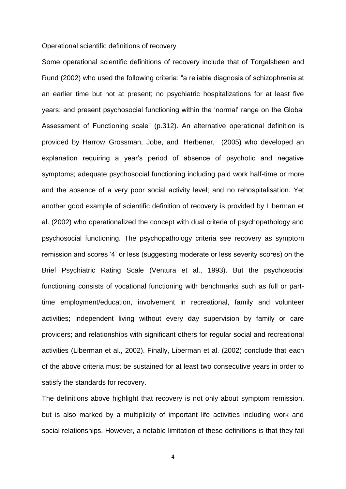#### Operational scientific definitions of recovery

Some operational scientific definitions of recovery include that of Torgalsbøen and Rund (2002) who used the following criteria: "a reliable diagnosis of schizophrenia at an earlier time but not at present; no psychiatric hospitalizations for at least five years; and present psychosocial functioning within the 'normal' range on the Global Assessment of Functioning scale" (p.312). An alternative operational definition is provided by Harrow, Grossman, Jobe, and Herbener, (2005) who developed an explanation requiring a year's period of absence of psychotic and negative symptoms; adequate psychosocial functioning including paid work half-time or more and the absence of a very poor social activity level; and no rehospitalisation. Yet another good example of scientific definition of recovery is provided by Liberman et al. (2002) who operationalized the concept with dual criteria of psychopathology and psychosocial functioning. The psychopathology criteria see recovery as symptom remission and scores '4' or less (suggesting moderate or less severity scores) on the Brief Psychiatric Rating Scale (Ventura et al., 1993). But the psychosocial functioning consists of vocational functioning with benchmarks such as full or parttime employment/education, involvement in recreational, family and volunteer activities; independent living without every day supervision by family or care providers; and relationships with significant others for regular social and recreational activities (Liberman et al., 2002). Finally, Liberman et al. (2002) conclude that each of the above criteria must be sustained for at least two consecutive years in order to satisfy the standards for recovery.

The definitions above highlight that recovery is not only about symptom remission, but is also marked by a multiplicity of important life activities including work and social relationships. However, a notable limitation of these definitions is that they fail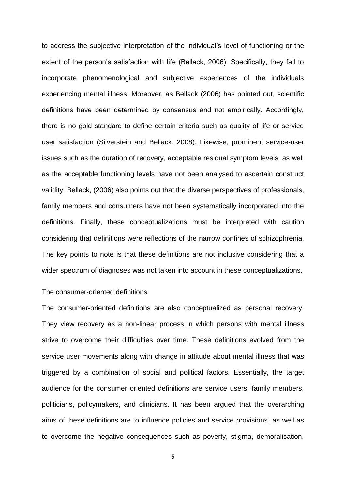to address the subjective interpretation of the individual's level of functioning or the extent of the person's satisfaction with life (Bellack, 2006). Specifically, they fail to incorporate phenomenological and subjective experiences of the individuals experiencing mental illness. Moreover, as Bellack (2006) has pointed out, scientific definitions have been determined by consensus and not empirically. Accordingly, there is no gold standard to define certain criteria such as quality of life or service user satisfaction (Silverstein and Bellack, 2008). Likewise, prominent service-user issues such as the duration of recovery, acceptable residual symptom levels, as well as the acceptable functioning levels have not been analysed to ascertain construct validity. Bellack, (2006) also points out that the diverse perspectives of professionals, family members and consumers have not been systematically incorporated into the definitions. Finally, these conceptualizations must be interpreted with caution considering that definitions were reflections of the narrow confines of schizophrenia. The key points to note is that these definitions are not inclusive considering that a wider spectrum of diagnoses was not taken into account in these conceptualizations.

### The consumer-oriented definitions

The consumer-oriented definitions are also conceptualized as personal recovery. They view recovery as a non-linear process in which persons with mental illness strive to overcome their difficulties over time. These definitions evolved from the service user movements along with change in attitude about mental illness that was triggered by a combination of social and political factors. Essentially, the target audience for the consumer oriented definitions are service users, family members, politicians, policymakers, and clinicians. It has been argued that the overarching aims of these definitions are to influence policies and service provisions, as well as to overcome the negative consequences such as poverty, stigma, demoralisation,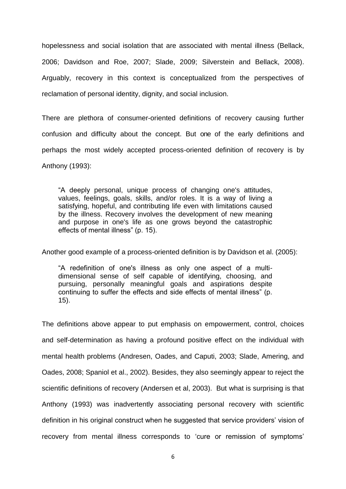hopelessness and social isolation that are associated with mental illness (Bellack, 2006; Davidson and Roe, 2007; Slade, 2009; Silverstein and Bellack, 2008). Arguably, recovery in this context is conceptualized from the perspectives of reclamation of personal identity, dignity, and social inclusion.

There are plethora of consumer-oriented definitions of recovery causing further confusion and difficulty about the concept. But one of the early definitions and perhaps the most widely accepted process-oriented definition of recovery is by Anthony (1993):

"A deeply personal, unique process of changing one's attitudes, values, feelings, goals, skills, and/or roles. It is a way of living a satisfying, hopeful, and contributing life even with limitations caused by the illness. Recovery involves the development of new meaning and purpose in one's life as one grows beyond the catastrophic effects of mental illness" (p. 15).

Another good example of a process-oriented definition is by Davidson et al. (2005):

"A redefinition of one's illness as only one aspect of a multidimensional sense of self capable of identifying, choosing, and pursuing, personally meaningful goals and aspirations despite continuing to suffer the effects and side effects of mental illness" (p. 15).

The definitions above appear to put emphasis on empowerment, control, choices and self-determination as having a profound positive effect on the individual with mental health problems (Andresen, Oades, and Caputi, 2003; Slade, Amering, and Oades, 2008; Spaniol et al., 2002). Besides, they also seemingly appear to reject the scientific definitions of recovery (Andersen et al, 2003). But what is surprising is that Anthony (1993) was inadvertently associating personal recovery with scientific definition in his original construct when he suggested that service providers' vision of recovery from mental illness corresponds to 'cure or remission of symptoms'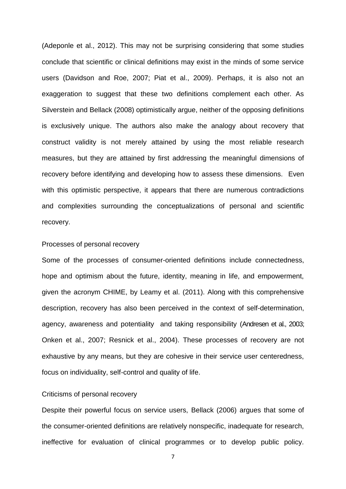(Adeponle et al., 2012). This may not be surprising considering that some studies conclude that scientific or clinical definitions may exist in the minds of some service users (Davidson and Roe, 2007; Piat et al., 2009). Perhaps, it is also not an exaggeration to suggest that these two definitions complement each other. As Silverstein and Bellack (2008) optimistically argue, neither of the opposing definitions is exclusively unique. The authors also make the analogy about recovery that construct validity is not merely attained by using the most reliable research measures, but they are attained by first addressing the meaningful dimensions of recovery before identifying and developing how to assess these dimensions. Even with this optimistic perspective, it appears that there are numerous contradictions and complexities surrounding the conceptualizations of personal and scientific recovery.

### Processes of personal recovery

Some of the processes of consumer-oriented definitions include connectedness, hope and optimism about the future, identity, meaning in life, and empowerment, given the acronym CHIME, by Leamy et al. (2011). Along with this comprehensive description, recovery has also been perceived in the context of self-determination, agency, awareness and potentiality and taking responsibility (Andresen et al., 2003; Onken et al., 2007; Resnick et al., 2004). These processes of recovery are not exhaustive by any means, but they are cohesive in their service user centeredness, focus on individuality, self-control and quality of life.

# Criticisms of personal recovery

Despite their powerful focus on service users, Bellack (2006) argues that some of the consumer-oriented definitions are relatively nonspecific, inadequate for research, ineffective for evaluation of clinical programmes or to develop public policy.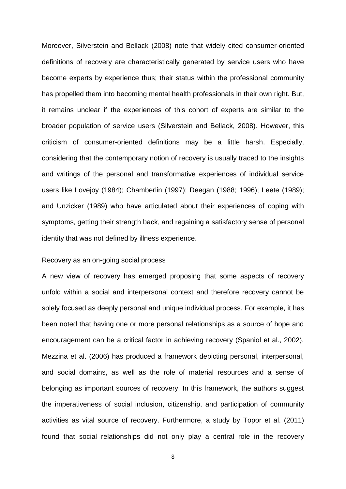Moreover, Silverstein and Bellack (2008) note that widely cited consumer-oriented definitions of recovery are characteristically generated by service users who have become experts by experience thus; their status within the professional community has propelled them into becoming mental health professionals in their own right. But, it remains unclear if the experiences of this cohort of experts are similar to the broader population of service users (Silverstein and Bellack, 2008). However, this criticism of consumer-oriented definitions may be a little harsh. Especially, considering that the contemporary notion of recovery is usually traced to the insights and writings of the personal and transformative experiences of individual service users like Lovejoy (1984); Chamberlin (1997); Deegan (1988; 1996); Leete (1989); and Unzicker (1989) who have articulated about their experiences of coping with symptoms, getting their strength back, and regaining a satisfactory sense of personal identity that was not defined by illness experience.

## Recovery as an on-going social process

A new view of recovery has emerged proposing that some aspects of recovery unfold within a social and interpersonal context and therefore recovery cannot be solely focused as deeply personal and unique individual process. For example, it has been noted that having one or more personal relationships as a source of hope and encouragement can be a critical factor in achieving recovery (Spaniol et al., 2002). Mezzina et al. (2006) has produced a framework depicting personal, interpersonal, and social domains, as well as the role of material resources and a sense of belonging as important sources of recovery. In this framework, the authors suggest the imperativeness of social inclusion, citizenship, and participation of community activities as vital source of recovery. Furthermore, a study by Topor et al. (2011) found that social relationships did not only play a central role in the recovery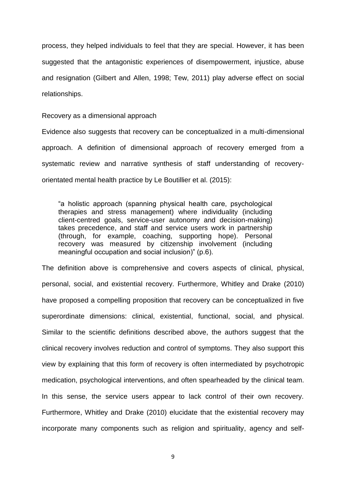process, they helped individuals to feel that they are special. However, it has been suggested that the antagonistic experiences of disempowerment, injustice, abuse and resignation (Gilbert and Allen, 1998; Tew, 2011) play adverse effect on social relationships.

Recovery as a dimensional approach

Evidence also suggests that recovery can be conceptualized in a multi-dimensional approach. A definition of dimensional approach of recovery emerged from a systematic review and narrative synthesis of staff understanding of recoveryorientated mental health practice by Le Boutillier et al. (2015):

"a holistic approach (spanning physical health care, psychological therapies and stress management) where individuality (including client-centred goals, service-user autonomy and decision-making) takes precedence, and staff and service users work in partnership (through, for example, coaching, supporting hope). Personal recovery was measured by citizenship involvement (including meaningful occupation and social inclusion)" (p.6).

The definition above is comprehensive and covers aspects of clinical, physical, personal, social, and existential recovery. Furthermore, Whitley and Drake (2010) have proposed a compelling proposition that recovery can be conceptualized in five superordinate dimensions: clinical, existential, functional, social, and physical. Similar to the scientific definitions described above, the authors suggest that the clinical recovery involves reduction and control of symptoms. They also support this view by explaining that this form of recovery is often intermediated by psychotropic medication, psychological interventions, and often spearheaded by the clinical team. In this sense, the service users appear to lack control of their own recovery. Furthermore, Whitley and Drake (2010) elucidate that the existential recovery may incorporate many components such as religion and spirituality, agency and self-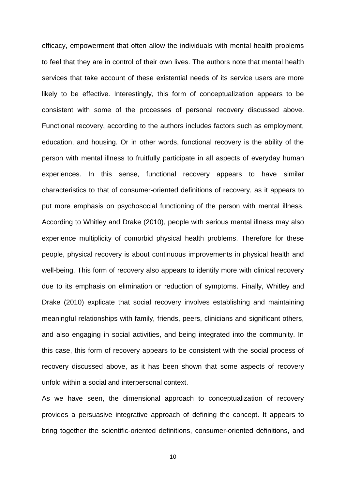efficacy, empowerment that often allow the individuals with mental health problems to feel that they are in control of their own lives. The authors note that mental health services that take account of these existential needs of its service users are more likely to be effective. Interestingly, this form of conceptualization appears to be consistent with some of the processes of personal recovery discussed above. Functional recovery, according to the authors includes factors such as employment, education, and housing. Or in other words, functional recovery is the ability of the person with mental illness to fruitfully participate in all aspects of everyday human experiences. In this sense, functional recovery appears to have similar characteristics to that of consumer-oriented definitions of recovery, as it appears to put more emphasis on psychosocial functioning of the person with mental illness. According to Whitley and Drake (2010), people with serious mental illness may also experience multiplicity of comorbid physical health problems. Therefore for these people, physical recovery is about continuous improvements in physical health and well-being. This form of recovery also appears to identify more with clinical recovery due to its emphasis on elimination or reduction of symptoms. Finally, Whitley and Drake (2010) explicate that social recovery involves establishing and maintaining meaningful relationships with family, friends, peers, clinicians and significant others, and also engaging in social activities, and being integrated into the community. In this case, this form of recovery appears to be consistent with the social process of recovery discussed above, as it has been shown that some aspects of recovery unfold within a social and interpersonal context.

As we have seen, the dimensional approach to conceptualization of recovery provides a persuasive integrative approach of defining the concept. It appears to bring together the scientific-oriented definitions, consumer-oriented definitions, and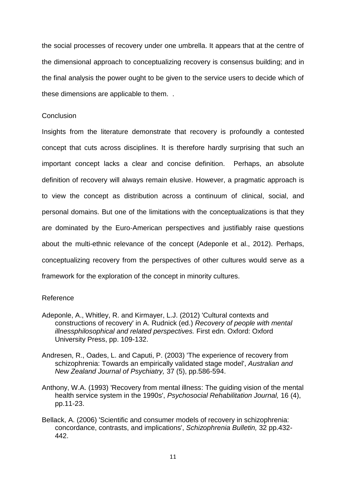the social processes of recovery under one umbrella. It appears that at the centre of the dimensional approach to conceptualizing recovery is consensus building; and in the final analysis the power ought to be given to the service users to decide which of these dimensions are applicable to them. .

### **Conclusion**

Insights from the literature demonstrate that recovery is profoundly a contested concept that cuts across disciplines. It is therefore hardly surprising that such an important concept lacks a clear and concise definition. Perhaps, an absolute definition of recovery will always remain elusive. However, a pragmatic approach is to view the concept as distribution across a continuum of clinical, social, and personal domains. But one of the limitations with the conceptualizations is that they are dominated by the Euro-American perspectives and justifiably raise questions about the multi-ethnic relevance of the concept (Adeponle et al., 2012). Perhaps, conceptualizing recovery from the perspectives of other cultures would serve as a framework for the exploration of the concept in minority cultures.

## Reference

- Adeponle, A., Whitley, R. and Kirmayer, L.J. (2012) 'Cultural contexts and constructions of recovery' in A. Rudnick (ed.) *Recovery of people with mental illnessphilosophical and related perspectives.* First edn. Oxford: Oxford University Press, pp. 109-132.
- Andresen, R., Oades, L. and Caputi, P. (2003) 'The experience of recovery from schizophrenia: Towards an empirically validated stage model', *Australian and New Zealand Journal of Psychiatry,* 37 (5), pp.586-594.
- Anthony, W.A. (1993) 'Recovery from mental illness: The guiding vision of the mental health service system in the 1990s', *Psychosocial Rehabilitation Journal,* 16 (4), pp.11-23.
- Bellack, A. (2006) 'Scientific and consumer models of recovery in schizophrenia: concordance, contrasts, and implications', *Schizophrenia Bulletin,* 32 pp.432- 442.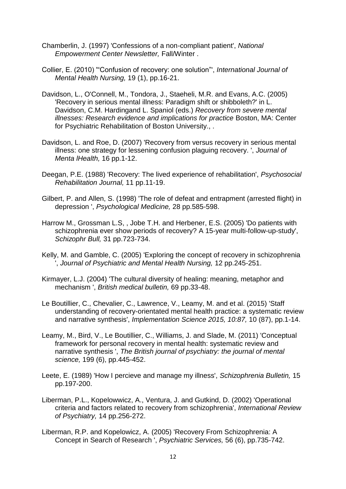- Chamberlin, J. (1997) 'Confessions of a non-compliant patient', *National Empowerment Center Newsletter,* Fall/Winter .
- Collier, E. (2010) '"Confusion of recovery: one solution"', *International Journal of Mental Health Nursing,* 19 (1), pp.16-21.
- Davidson, L., O'Connell, M., Tondora, J., Staeheli, M.R. and Evans, A.C. (2005) 'Recovery in serious mental illness: Paradigm shift or shibboleth?' in L. Davidson, C.M. Hardingand L. Spaniol (eds.) *Recovery from severe mental illnesses: Research evidence and implications for practice* Boston, MA: Center for Psychiatric Rehabilitation of Boston University., .
- Davidson, L. and Roe, D. (2007) 'Recovery from versus recovery in serious mental illness: one strategy for lessening confusion plaguing recovery. ', *Journal of Menta lHealth,* 16 pp.1-12.
- Deegan, P.E. (1988) 'Recovery: The lived experience of rehabilitation', *Psychosocial Rehabilitation Journal,* 11 pp.11-19.
- Gilbert, P. and Allen, S. (1998) 'The role of defeat and entrapment (arrested flight) in depression ', *Psychological Medicine,* 28 pp.585-598.
- Harrow M., Grossman L.S, , Jobe T.H. and Herbener, E.S. (2005) 'Do patients with schizophrenia ever show periods of recovery? A 15-year multi-follow-up-study', *Schizophr Bull,* 31 pp.723-734.
- Kelly, M. and Gamble, C. (2005) 'Exploring the concept of recovery in schizophrenia ', *Journal of Psychiatric and Mental Health Nursing,* 12 pp.245-251.
- Kirmayer, L.J. (2004) 'The cultural diversity of healing: meaning, metaphor and mechanism ', *British medical bulletin,* 69 pp.33-48.
- Le Boutillier, C., Chevalier, C., Lawrence, V., Leamy, M. and et al. (2015) 'Staff understanding of recovery-orientated mental health practice: a systematic review and narrative synthesis', *Implementation Science 2015, 10:87,* 10 (87), pp.1-14.
- Leamy, M., Bird, V., Le Boutillier, C., Williams, J. and Slade, M. (2011) 'Conceptual framework for personal recovery in mental health: systematic review and narrative synthesis ', *The British journal of psychiatry: the journal of mental science,* 199 (6), pp.445-452.
- Leete, E. (1989) 'How I percieve and manage my illness', *Schizophrenia Bulletin,* 15 pp.197-200.
- Liberman, P.L., Kopelowwicz, A., Ventura, J. and Gutkind, D. (2002) 'Operational criteria and factors related to recovery from schizophrenia', *International Review of Psychiatry,* 14 pp.256-272.
- Liberman, R.P. and Kopelowicz, A. (2005) 'Recovery From Schizophrenia: A Concept in Search of Research ', *Psychiatric Services,* 56 (6), pp.735-742.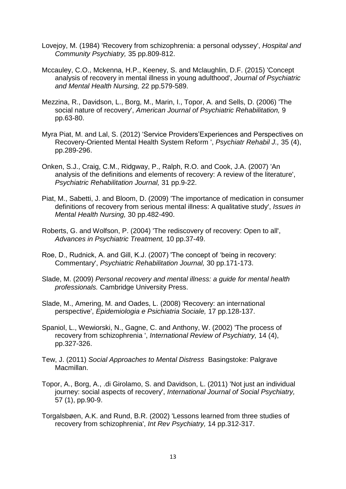- Lovejoy, M. (1984) 'Recovery from schizophrenia: a personal odyssey', *Hospital and Community Psychiatry,* 35 pp.809-812.
- Mccauley, C.O., Mckenna, H.P., Keeney, S. and Mclaughlin, D.F. (2015) 'Concept analysis of recovery in mental illness in young adulthood', *Journal of Psychiatric and Mental Health Nursing,* 22 pp.579-589.
- Mezzina, R., Davidson, L., Borg, M., Marin, I., Topor, A. and Sells, D. (2006) 'The social nature of recovery', *American Journal of Psychiatric Rehabilitation,* 9 pp.63-80.
- Myra Piat, M. and Lal, S. (2012) 'Service Providers'Experiences and Perspectives on Recovery-Oriented Mental Health System Reform ', *Psychiatr Rehabil J.,* 35 (4), pp.289-296.
- Onken, S.J., Craig, C.M., Ridgway, P., Ralph, R.O. and Cook, J.A. (2007) 'An analysis of the definitions and elements of recovery: A review of the literature', *Psychiatric Rehabilitation Journal,* 31 pp.9-22.
- Piat, M., Sabetti, J. and Bloom, D. (2009) 'The importance of medication in consumer definitions of recovery from serious mental illness: A qualitative study', *Issues in Mental Health Nursing,* 30 pp.482-490.
- Roberts, G. and Wolfson, P. (2004) 'The rediscovery of recovery: Open to all', *Advances in Psychiatric Treatment,* 10 pp.37-49.
- Roe, D., Rudnick, A. and Gill, K.J. (2007) 'The concept of 'being in recovery: Commentary', *Psychiatric Rehabilitation Journal,* 30 pp.171-173.
- Slade, M. (2009) *Personal recovery and mental illness: a guide for mental health professionals.* Cambridge University Press.
- Slade, M., Amering, M. and Oades, L. (2008) 'Recovery: an international perspective', *Epidemiologia e Psichiatria Sociale,* 17 pp.128-137.
- Spaniol, L., Wewiorski, N., Gagne, C. and Anthony, W. (2002) 'The process of recovery from schizophrenia ', *International Review of Psychiatry,* 14 (4), pp.327-326.
- Tew, J. (2011) *Social Approaches to Mental Distress* Basingstoke: Palgrave Macmillan.
- Topor, A., Borg, A., .di Girolamo, S. and Davidson, L. (2011) 'Not just an individual journey: social aspects of recovery', *International Journal of Social Psychiatry,*  57 (1), pp.90-9.
- Torgalsbøen, A.K. and Rund, B.R. (2002) 'Lessons learned from three studies of recovery from schizophrenia', *Int Rev Psychiatry,* 14 pp.312-317.